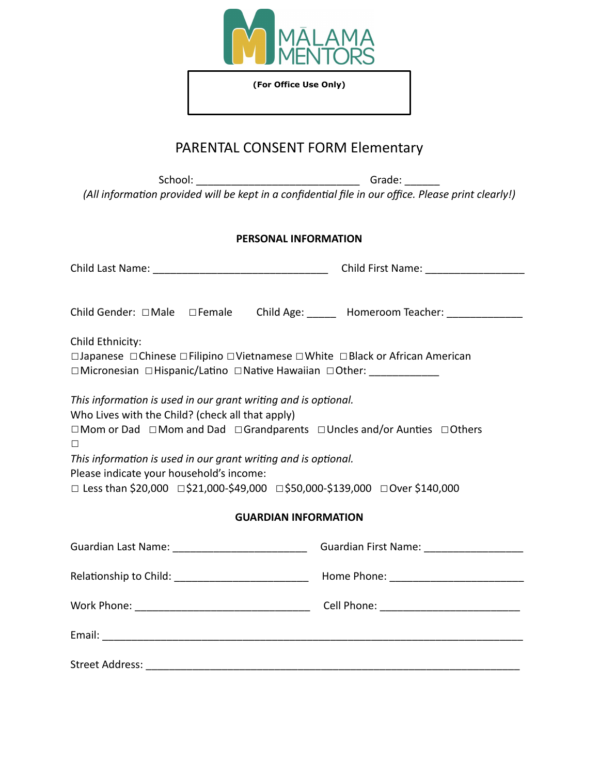

**(For Office Use Only)**

### PARENTAL CONSENT FORM Elementary

School: \_\_\_\_\_\_\_\_\_\_\_\_\_\_\_\_\_\_\_\_\_\_\_\_\_\_\_\_ Grade: \_\_\_\_\_\_ *(All information provided will be kept in a confidential file in our office. Please print clearly!)* 

#### **PERSONAL INFORMATION**

| Child Gender: □Male □Female Child Age: _____ Homeroom Teacher: ____________<br>Child Ethnicity:                                                                                                                                                                                                                                                                                                |  |  |  |  |
|------------------------------------------------------------------------------------------------------------------------------------------------------------------------------------------------------------------------------------------------------------------------------------------------------------------------------------------------------------------------------------------------|--|--|--|--|
| □Japanese □Chinese □Filipino □Vietnamese □White □Black or African American<br>□Micronesian □Hispanic/Latino □Native Hawaiian □Other: _____________                                                                                                                                                                                                                                             |  |  |  |  |
| This information is used in our grant writing and is optional.<br>Who Lives with the Child? (check all that apply)<br>□Mom or Dad □Mom and Dad □Grandparents □Uncles and/or Aunties □Others<br>□<br>This information is used in our grant writing and is optional.<br>Please indicate your household's income:<br>□ Less than \$20,000 □\$21,000-\$49,000 □\$50,000-\$139,000 □ Over \$140,000 |  |  |  |  |
| <b>GUARDIAN INFORMATION</b>                                                                                                                                                                                                                                                                                                                                                                    |  |  |  |  |
| Guardian Last Name: _________________________________Guardian First Name: _________________________                                                                                                                                                                                                                                                                                            |  |  |  |  |
|                                                                                                                                                                                                                                                                                                                                                                                                |  |  |  |  |
|                                                                                                                                                                                                                                                                                                                                                                                                |  |  |  |  |
|                                                                                                                                                                                                                                                                                                                                                                                                |  |  |  |  |
|                                                                                                                                                                                                                                                                                                                                                                                                |  |  |  |  |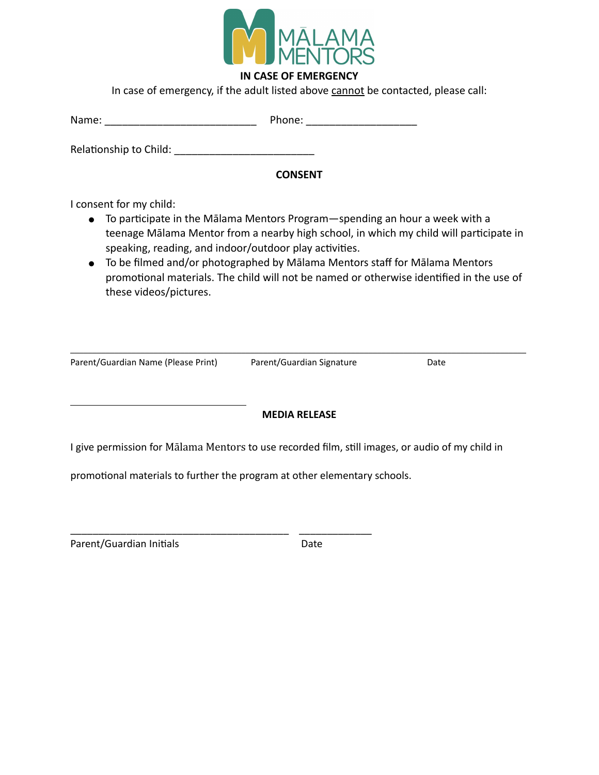

#### **IN CASE OF EMERGENCY**

In case of emergency, if the adult listed above cannot be contacted, please call:

| Name: | Phone: |
|-------|--------|
|       |        |

Relationship to Child:

#### **CONSENT**

I consent for my child:

- $\bullet$  To participate in the Mālama Mentors Program—spending an hour a week with a teenage Mālama Mentor from a nearby high school, in which my child will participate in speaking, reading, and indoor/outdoor play activities.
- To be filmed and/or photographed by Mālama Mentors staff for Mālama Mentors promotional materials. The child will not be named or otherwise identified in the use of these videos/pictures.

Parent/Guardian Name (Please Print) Parent/Guardian Signature Date

\_\_\_\_\_\_\_\_\_\_\_\_\_\_\_\_\_\_\_\_\_\_\_\_\_\_\_\_\_\_\_\_\_\_\_\_\_\_\_\_\_\_\_\_\_\_\_\_\_\_\_\_\_\_\_\_\_\_\_\_\_\_\_\_\_\_\_\_\_\_\_\_\_\_\_\_\_\_\_\_\_\_\_\_\_\_\_\_\_\_\_\_\_\_\_\_\_\_\_\_\_\_\_\_

#### **MEDIA RELEASE**

I give permission for Mālama Mentors to use recorded film, still images, or audio of my child in

promotional materials to further the program at other elementary schools.

\_\_\_\_\_\_\_\_\_\_\_\_\_\_\_\_\_\_\_\_\_\_\_\_\_\_\_\_\_\_\_\_\_\_\_\_\_\_\_ \_\_\_\_\_\_\_\_\_\_\_\_\_

Parent/Guardian Initials Date

l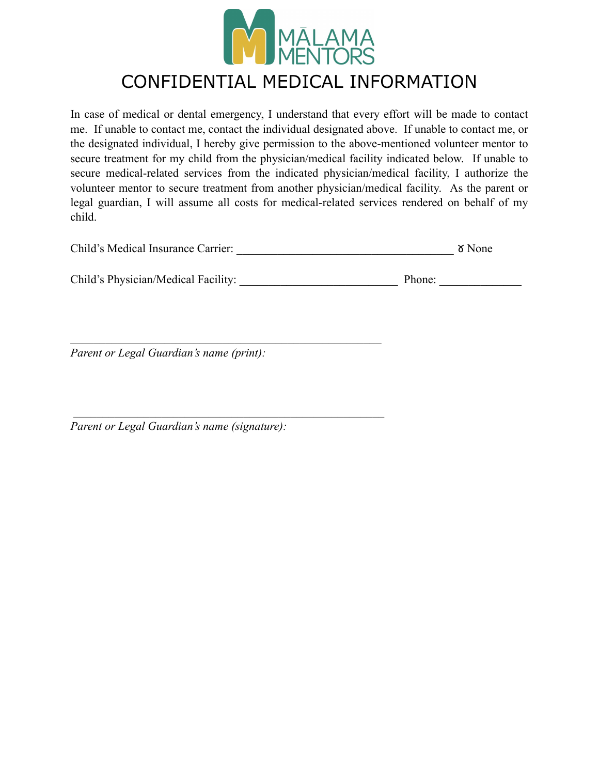

### CONFIDENTIAL MEDICAL INFORMATION

In case of medical or dental emergency, I understand that every effort will be made to contact me. If unable to contact me, contact the individual designated above. If unable to contact me, or the designated individual, I hereby give permission to the above-mentioned volunteer mentor to secure treatment for my child from the physician/medical facility indicated below. If unable to secure medical-related services from the indicated physician/medical facility, I authorize the volunteer mentor to secure treatment from another physician/medical facility. As the parent or legal guardian, I will assume all costs for medical-related services rendered on behalf of my child.

| Child's Medical Insurance Carrier:<br>δ None |  |
|----------------------------------------------|--|
|----------------------------------------------|--|

| Child's Physician/Medical Facility: |  | Phone: |
|-------------------------------------|--|--------|
|-------------------------------------|--|--------|

*Parent or Legal Guardian's name (print):* 

 $\mathcal{L}_\text{max}$  and the contract of the contract of the contract of the contract of the contract of the contract of the contract of the contract of the contract of the contract of the contract of the contract of the contrac

 $\mathcal{L}_\text{max}$  and the contract of the contract of the contract of the contract of the contract of the contract of the contract of the contract of the contract of the contract of the contract of the contract of the contrac

*Parent or Legal Guardian's name (signature):*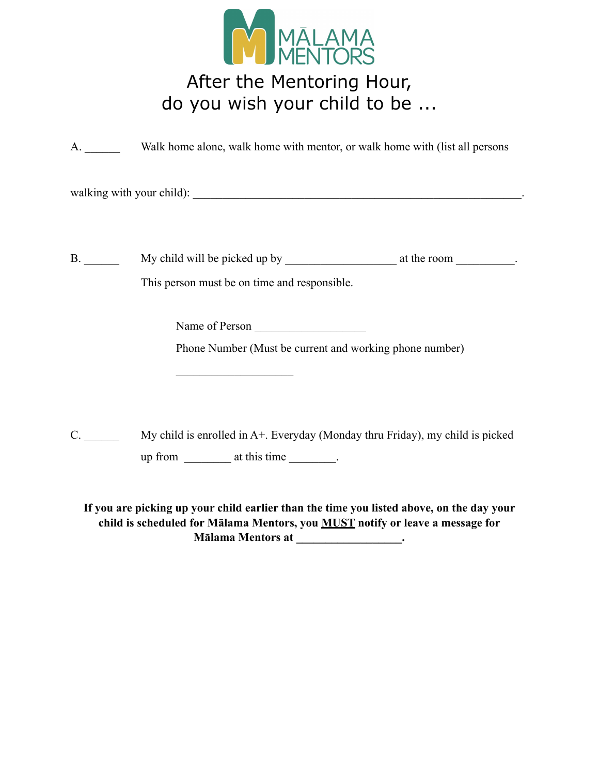

## After the Mentoring Hour, do you wish your child to be ...

A. Walk home alone, walk home with mentor, or walk home with (list all persons

walking with your child): \_\_\_\_\_\_\_\_\_\_\_\_\_\_\_\_\_\_\_\_\_\_\_\_\_\_\_\_\_\_\_\_\_\_\_\_\_\_\_\_\_\_\_\_\_\_\_\_\_\_\_\_\_\_\_\_.

 $\mathcal{L}_\text{max}$  , where  $\mathcal{L}_\text{max}$  and  $\mathcal{L}_\text{max}$ 

B. \_\_\_\_\_\_ My child will be picked up by \_\_\_\_\_\_\_\_\_\_\_\_\_\_\_\_\_\_\_ at the room \_\_\_\_\_\_\_\_\_\_. This person must be on time and responsible.

Name of Person \_\_\_\_\_\_\_\_\_\_\_\_\_\_\_\_\_\_\_

Phone Number (Must be current and working phone number)

C. \_\_\_\_\_\_ My child is enrolled in A+. Everyday (Monday thru Friday), my child is picked up from \_\_\_\_\_\_\_\_\_ at this time \_\_\_\_\_\_\_.

**If you are picking up your child earlier than the time you listed above, on the day your child is scheduled for Mālama Mentors, you MUST notify or leave a message for Mālama Mentors at \_\_\_\_\_\_\_\_\_\_\_\_\_\_\_\_\_\_.**